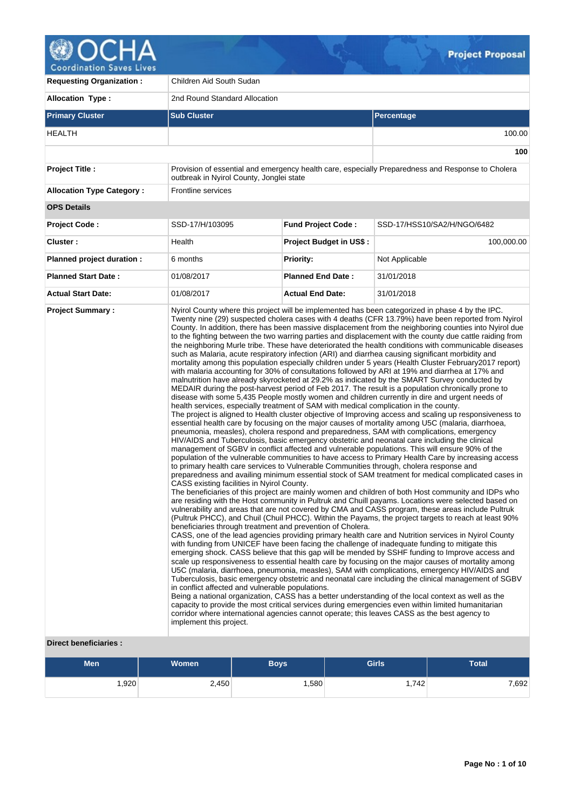

| <b>Requesting Organization:</b>  | Children Aid South Sudan                                                                                                                                                                                                                                                                                                                                                    |                                |                                                                                                                                                                                                                                                                                                                                                                                                                                                                                                                                                                                                                                                                                                                                                                                                                                                                                                                                                                                                                                                                                                                                                                                                                                                                                                                                                                                                                                                                                                                                                                                                                                                                                                                                                                                                                                                                                                                                                                                                                                                                                                                                                                                                                                                                                                                                                                                                                                                                                                                                                                                                                                                                                                                                                                                                                                                                                                                                                                                                                                                                                                                                                             |  |  |  |  |
|----------------------------------|-----------------------------------------------------------------------------------------------------------------------------------------------------------------------------------------------------------------------------------------------------------------------------------------------------------------------------------------------------------------------------|--------------------------------|-------------------------------------------------------------------------------------------------------------------------------------------------------------------------------------------------------------------------------------------------------------------------------------------------------------------------------------------------------------------------------------------------------------------------------------------------------------------------------------------------------------------------------------------------------------------------------------------------------------------------------------------------------------------------------------------------------------------------------------------------------------------------------------------------------------------------------------------------------------------------------------------------------------------------------------------------------------------------------------------------------------------------------------------------------------------------------------------------------------------------------------------------------------------------------------------------------------------------------------------------------------------------------------------------------------------------------------------------------------------------------------------------------------------------------------------------------------------------------------------------------------------------------------------------------------------------------------------------------------------------------------------------------------------------------------------------------------------------------------------------------------------------------------------------------------------------------------------------------------------------------------------------------------------------------------------------------------------------------------------------------------------------------------------------------------------------------------------------------------------------------------------------------------------------------------------------------------------------------------------------------------------------------------------------------------------------------------------------------------------------------------------------------------------------------------------------------------------------------------------------------------------------------------------------------------------------------------------------------------------------------------------------------------------------------------------------------------------------------------------------------------------------------------------------------------------------------------------------------------------------------------------------------------------------------------------------------------------------------------------------------------------------------------------------------------------------------------------------------------------------------------------------------------|--|--|--|--|
| <b>Allocation Type:</b>          | 2nd Round Standard Allocation                                                                                                                                                                                                                                                                                                                                               |                                |                                                                                                                                                                                                                                                                                                                                                                                                                                                                                                                                                                                                                                                                                                                                                                                                                                                                                                                                                                                                                                                                                                                                                                                                                                                                                                                                                                                                                                                                                                                                                                                                                                                                                                                                                                                                                                                                                                                                                                                                                                                                                                                                                                                                                                                                                                                                                                                                                                                                                                                                                                                                                                                                                                                                                                                                                                                                                                                                                                                                                                                                                                                                                             |  |  |  |  |
| <b>Primary Cluster</b>           | <b>Sub Cluster</b>                                                                                                                                                                                                                                                                                                                                                          |                                | Percentage                                                                                                                                                                                                                                                                                                                                                                                                                                                                                                                                                                                                                                                                                                                                                                                                                                                                                                                                                                                                                                                                                                                                                                                                                                                                                                                                                                                                                                                                                                                                                                                                                                                                                                                                                                                                                                                                                                                                                                                                                                                                                                                                                                                                                                                                                                                                                                                                                                                                                                                                                                                                                                                                                                                                                                                                                                                                                                                                                                                                                                                                                                                                                  |  |  |  |  |
| HEALTH                           |                                                                                                                                                                                                                                                                                                                                                                             |                                | 100.00                                                                                                                                                                                                                                                                                                                                                                                                                                                                                                                                                                                                                                                                                                                                                                                                                                                                                                                                                                                                                                                                                                                                                                                                                                                                                                                                                                                                                                                                                                                                                                                                                                                                                                                                                                                                                                                                                                                                                                                                                                                                                                                                                                                                                                                                                                                                                                                                                                                                                                                                                                                                                                                                                                                                                                                                                                                                                                                                                                                                                                                                                                                                                      |  |  |  |  |
|                                  |                                                                                                                                                                                                                                                                                                                                                                             |                                | 100                                                                                                                                                                                                                                                                                                                                                                                                                                                                                                                                                                                                                                                                                                                                                                                                                                                                                                                                                                                                                                                                                                                                                                                                                                                                                                                                                                                                                                                                                                                                                                                                                                                                                                                                                                                                                                                                                                                                                                                                                                                                                                                                                                                                                                                                                                                                                                                                                                                                                                                                                                                                                                                                                                                                                                                                                                                                                                                                                                                                                                                                                                                                                         |  |  |  |  |
| <b>Project Title:</b>            | outbreak in Nyirol County, Jonglei state                                                                                                                                                                                                                                                                                                                                    |                                | Provision of essential and emergency health care, especially Preparedness and Response to Cholera                                                                                                                                                                                                                                                                                                                                                                                                                                                                                                                                                                                                                                                                                                                                                                                                                                                                                                                                                                                                                                                                                                                                                                                                                                                                                                                                                                                                                                                                                                                                                                                                                                                                                                                                                                                                                                                                                                                                                                                                                                                                                                                                                                                                                                                                                                                                                                                                                                                                                                                                                                                                                                                                                                                                                                                                                                                                                                                                                                                                                                                           |  |  |  |  |
| <b>Allocation Type Category:</b> | <b>Frontline services</b>                                                                                                                                                                                                                                                                                                                                                   |                                |                                                                                                                                                                                                                                                                                                                                                                                                                                                                                                                                                                                                                                                                                                                                                                                                                                                                                                                                                                                                                                                                                                                                                                                                                                                                                                                                                                                                                                                                                                                                                                                                                                                                                                                                                                                                                                                                                                                                                                                                                                                                                                                                                                                                                                                                                                                                                                                                                                                                                                                                                                                                                                                                                                                                                                                                                                                                                                                                                                                                                                                                                                                                                             |  |  |  |  |
| <b>OPS Details</b>               |                                                                                                                                                                                                                                                                                                                                                                             |                                |                                                                                                                                                                                                                                                                                                                                                                                                                                                                                                                                                                                                                                                                                                                                                                                                                                                                                                                                                                                                                                                                                                                                                                                                                                                                                                                                                                                                                                                                                                                                                                                                                                                                                                                                                                                                                                                                                                                                                                                                                                                                                                                                                                                                                                                                                                                                                                                                                                                                                                                                                                                                                                                                                                                                                                                                                                                                                                                                                                                                                                                                                                                                                             |  |  |  |  |
| <b>Project Code:</b>             | SSD-17/H/103095                                                                                                                                                                                                                                                                                                                                                             | <b>Fund Project Code:</b>      | SSD-17/HSS10/SA2/H/NGO/6482                                                                                                                                                                                                                                                                                                                                                                                                                                                                                                                                                                                                                                                                                                                                                                                                                                                                                                                                                                                                                                                                                                                                                                                                                                                                                                                                                                                                                                                                                                                                                                                                                                                                                                                                                                                                                                                                                                                                                                                                                                                                                                                                                                                                                                                                                                                                                                                                                                                                                                                                                                                                                                                                                                                                                                                                                                                                                                                                                                                                                                                                                                                                 |  |  |  |  |
| Cluster:                         | Health                                                                                                                                                                                                                                                                                                                                                                      | <b>Project Budget in US\$:</b> | 100,000.00                                                                                                                                                                                                                                                                                                                                                                                                                                                                                                                                                                                                                                                                                                                                                                                                                                                                                                                                                                                                                                                                                                                                                                                                                                                                                                                                                                                                                                                                                                                                                                                                                                                                                                                                                                                                                                                                                                                                                                                                                                                                                                                                                                                                                                                                                                                                                                                                                                                                                                                                                                                                                                                                                                                                                                                                                                                                                                                                                                                                                                                                                                                                                  |  |  |  |  |
| Planned project duration :       | 6 months                                                                                                                                                                                                                                                                                                                                                                    | <b>Priority:</b>               | Not Applicable                                                                                                                                                                                                                                                                                                                                                                                                                                                                                                                                                                                                                                                                                                                                                                                                                                                                                                                                                                                                                                                                                                                                                                                                                                                                                                                                                                                                                                                                                                                                                                                                                                                                                                                                                                                                                                                                                                                                                                                                                                                                                                                                                                                                                                                                                                                                                                                                                                                                                                                                                                                                                                                                                                                                                                                                                                                                                                                                                                                                                                                                                                                                              |  |  |  |  |
| <b>Planned Start Date:</b>       | 01/08/2017                                                                                                                                                                                                                                                                                                                                                                  | <b>Planned End Date:</b>       | 31/01/2018                                                                                                                                                                                                                                                                                                                                                                                                                                                                                                                                                                                                                                                                                                                                                                                                                                                                                                                                                                                                                                                                                                                                                                                                                                                                                                                                                                                                                                                                                                                                                                                                                                                                                                                                                                                                                                                                                                                                                                                                                                                                                                                                                                                                                                                                                                                                                                                                                                                                                                                                                                                                                                                                                                                                                                                                                                                                                                                                                                                                                                                                                                                                                  |  |  |  |  |
| <b>Actual Start Date:</b>        | 01/08/2017                                                                                                                                                                                                                                                                                                                                                                  | <b>Actual End Date:</b>        | 31/01/2018                                                                                                                                                                                                                                                                                                                                                                                                                                                                                                                                                                                                                                                                                                                                                                                                                                                                                                                                                                                                                                                                                                                                                                                                                                                                                                                                                                                                                                                                                                                                                                                                                                                                                                                                                                                                                                                                                                                                                                                                                                                                                                                                                                                                                                                                                                                                                                                                                                                                                                                                                                                                                                                                                                                                                                                                                                                                                                                                                                                                                                                                                                                                                  |  |  |  |  |
|                                  | health services, especially treatment of SAM with medical complication in the county.<br>to primary health care services to Vulnerable Communities through, cholera response and<br>CASS existing facilities in Nyirol County.<br>beneficiaries through treatment and prevention of Cholera.<br>in conflict affected and vulnerable populations.<br>implement this project. |                                | Twenty nine (29) suspected cholera cases with 4 deaths (CFR 13.79%) have been reported from Nyirol<br>County. In addition, there has been massive displacement from the neighboring counties into Nyirol due<br>to the fighting between the two warring parties and displacement with the county due cattle raiding from<br>the neighboring Murle tribe. These have deteriorated the health conditions with communicable diseases<br>such as Malaria, acute respiratory infection (ARI) and diarrhea causing significant morbidity and<br>mortality among this population especially children under 5 years (Health Cluster February2017 report)<br>with malaria accounting for 30% of consultations followed by ARI at 19% and diarrhea at 17% and<br>malnutrition have already skyrocketed at 29.2% as indicated by the SMART Survey conducted by<br>MEDAIR during the post-harvest period of Feb 2017. The result is a population chronically prone to<br>disease with some 5,435 People mostly women and children currently in dire and urgent needs of<br>The project is aligned to Health cluster objective of Improving access and scaling up responsiveness to<br>essential health care by focusing on the major causes of mortality among U5C (malaria, diarrhoea,<br>pneumonia, measles), cholera respond and preparedness, SAM with complications, emergency<br>HIV/AIDS and Tuberculosis, basic emergency obstetric and neonatal care including the clinical<br>management of SGBV in conflict affected and vulnerable populations. This will ensure 90% of the<br>population of the vulnerable communities to have access to Primary Health Care by increasing access<br>preparedness and availing minimum essential stock of SAM treatment for medical complicated cases in<br>The beneficiaries of this project are mainly women and children of both Host community and IDPs who<br>are residing with the Host community in Pultruk and Chuill payams. Locations were selected based on<br>vulnerability and areas that are not covered by CMA and CASS program, these areas include Pultruk<br>(Pultruk PHCC), and Chuil (Chuil PHCC). Within the Payams, the project targets to reach at least 90%<br>CASS, one of the lead agencies providing primary health care and Nutrition services in Nyirol County<br>with funding from UNICEF have been facing the challenge of inadequate funding to mitigate this<br>emerging shock. CASS believe that this gap will be mended by SSHF funding to Improve access and<br>scale up responsiveness to essential health care by focusing on the major causes of mortality among<br>U5C (malaria, diarrhoea, pneumonia, measles), SAM with complications, emergency HIV/AIDS and<br>Tuberculosis, basic emergency obstetric and neonatal care including the clinical management of SGBV<br>Being a national organization, CASS has a better understanding of the local context as well as the<br>capacity to provide the most critical services during emergencies even within limited humanitarian<br>corridor where international agencies cannot operate; this leaves CASS as the best agency to |  |  |  |  |

# **Direct beneficiaries :**

| <b>Men</b> | Women | <b>Boys</b> | <b>Girls</b> | <b>Total</b> |
|------------|-------|-------------|--------------|--------------|
| ,920       | 2,450 | ,580        | ∃742.،       | ,692         |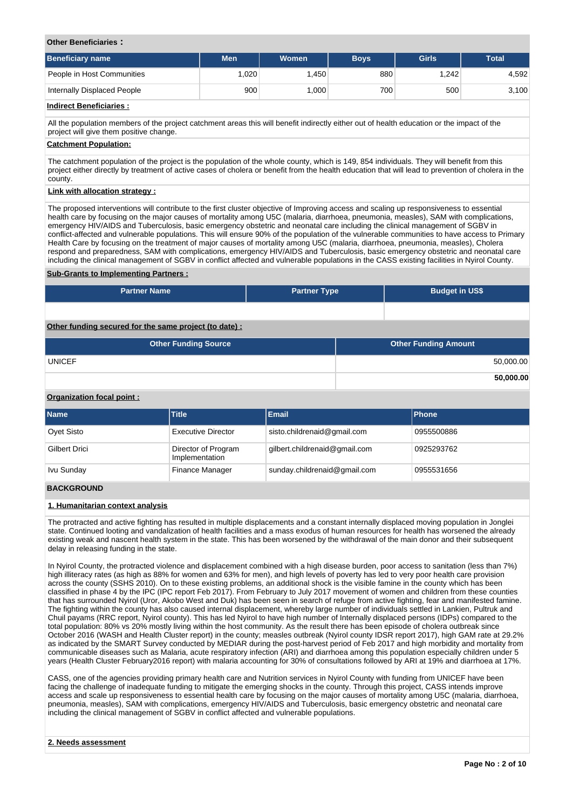## **Other Beneficiaries :**

| <b>Beneficiary name</b>     | <b>Men</b> | Women | <b>Boys</b> | Girls | <b>Total</b> |
|-----------------------------|------------|-------|-------------|-------|--------------|
| People in Host Communities  | .020       | .450  | 880         | 1.242 | 4,592        |
| Internally Displaced People | 900        | ,000  | 700         | 500   | 3,100        |

# **Indirect Beneficiaries :**

All the population members of the project catchment areas this will benefit indirectly either out of health education or the impact of the project will give them positive change.

#### **Catchment Population:**

The catchment population of the project is the population of the whole county, which is 149, 854 individuals. They will benefit from this project either directly by treatment of active cases of cholera or benefit from the health education that will lead to prevention of cholera in the county.

## **Link with allocation strategy :**

The proposed interventions will contribute to the first cluster objective of Improving access and scaling up responsiveness to essential health care by focusing on the major causes of mortality among U5C (malaria, diarrhoea, pneumonia, measles), SAM with complications, emergency HIV/AIDS and Tuberculosis, basic emergency obstetric and neonatal care including the clinical management of SGBV in conflict-affected and vulnerable populations. This will ensure 90% of the population of the vulnerable communities to have access to Primary Health Care by focusing on the treatment of major causes of mortality among U5C (malaria, diarrhoea, pneumonia, measles), Cholera respond and preparedness, SAM with complications, emergency HIV/AIDS and Tuberculosis, basic emergency obstetric and neonatal care including the clinical management of SGBV in conflict affected and vulnerable populations in the CASS existing facilities in Nyirol County.

#### **Sub-Grants to Implementing Partners :**

| <b>Partner Name</b>                                   | <b>Partner Type</b> | <b>Budget in US\$</b>       |  |  |  |  |  |
|-------------------------------------------------------|---------------------|-----------------------------|--|--|--|--|--|
|                                                       |                     |                             |  |  |  |  |  |
| Other funding secured for the same project (to date): |                     |                             |  |  |  |  |  |
| <b>Other Funding Source</b>                           |                     | <b>Other Funding Amount</b> |  |  |  |  |  |

UNICEF 50,000.00

#### **Organization focal point :**

| <b>Name</b>          | <b>Title</b>                          | <b>Email</b>                  | <b>Phone</b> |
|----------------------|---------------------------------------|-------------------------------|--------------|
| Ovet Sisto           | <b>Executive Director</b>             | sisto.childrenaid@gmail.com   | 0955500886   |
| <b>Gilbert Drici</b> | Director of Program<br>Implementation | gilbert.childrenaid@gmail.com | 0925293762   |
| Ivu Sunday           | Finance Manager                       | sunday.childrenaid@gmail.com  | 0955531656   |

# **BACKGROUND**

#### **1. Humanitarian context analysis**

The protracted and active fighting has resulted in multiple displacements and a constant internally displaced moving population in Jonglei state. Continued looting and vandalization of health facilities and a mass exodus of human resources for health has worsened the already existing weak and nascent health system in the state. This has been worsened by the withdrawal of the main donor and their subsequent delay in releasing funding in the state.

In Nyirol County, the protracted violence and displacement combined with a high disease burden, poor access to sanitation (less than 7%) high illiteracy rates (as high as 88% for women and 63% for men), and high levels of poverty has led to very poor health care provision across the county (SSHS 2010). On to these existing problems, an additional shock is the visible famine in the county which has been classified in phase 4 by the IPC (IPC report Feb 2017). From February to July 2017 movement of women and children from these counties that has surrounded Nyirol (Uror, Akobo West and Duk) has been seen in search of refuge from active fighting, fear and manifested famine. The fighting within the county has also caused internal displacement, whereby large number of individuals settled in Lankien, Pultruk and Chuil payams (RRC report, Nyirol county). This has led Nyirol to have high number of Internally displaced persons (IDPs) compared to the total population: 80% vs 20% mostly living within the host community. As the result there has been episode of cholera outbreak since October 2016 (WASH and Health Cluster report) in the county; measles outbreak (Nyirol county IDSR report 2017), high GAM rate at 29.2% as indicated by the SMART Survey conducted by MEDIAR during the post-harvest period of Feb 2017 and high morbidity and mortality from communicable diseases such as Malaria, acute respiratory infection (ARI) and diarrhoea among this population especially children under 5 years (Health Cluster February2016 report) with malaria accounting for 30% of consultations followed by ARI at 19% and diarrhoea at 17%.

CASS, one of the agencies providing primary health care and Nutrition services in Nyirol County with funding from UNICEF have been facing the challenge of inadequate funding to mitigate the emerging shocks in the county. Through this project, CASS intends improve access and scale up responsiveness to essential health care by focusing on the major causes of mortality among U5C (malaria, diarrhoea, pneumonia, measles), SAM with complications, emergency HIV/AIDS and Tuberculosis, basic emergency obstetric and neonatal care including the clinical management of SGBV in conflict affected and vulnerable populations.

**50,000.00**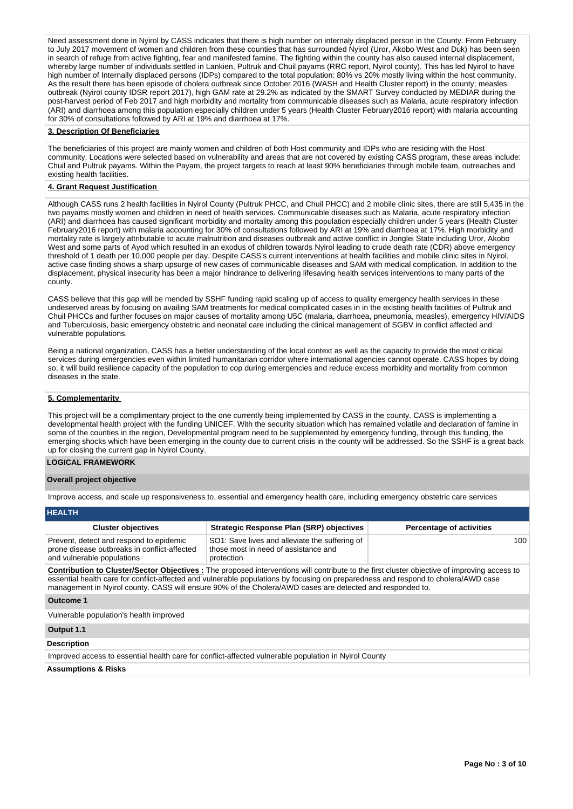Need assessment done in Nyirol by CASS indicates that there is high number on internaly displaced person in the County. From February to July 2017 movement of women and children from these counties that has surrounded Nyirol (Uror, Akobo West and Duk) has been seen in search of refuge from active fighting, fear and manifested famine. The fighting within the county has also caused internal displacement, whereby large number of individuals settled in Lankien, Pultruk and Chuil payams (RRC report, Nyirol county). This has led Nyirol to have high number of Internally displaced persons (IDPs) compared to the total population: 80% vs 20% mostly living within the host community. As the result there has been episode of cholera outbreak since October 2016 (WASH and Health Cluster report) in the county; measles outbreak (Nyirol county IDSR report 2017), high GAM rate at 29.2% as indicated by the SMART Survey conducted by MEDIAR during the post-harvest period of Feb 2017 and high morbidity and mortality from communicable diseases such as Malaria, acute respiratory infection (ARI) and diarrhoea among this population especially children under 5 years (Health Cluster February2016 report) with malaria accounting for 30% of consultations followed by ARI at 19% and diarrhoea at 17%.

#### **3. Description Of Beneficiaries**

The beneficiaries of this project are mainly women and children of both Host community and IDPs who are residing with the Host community. Locations were selected based on vulnerability and areas that are not covered by existing CASS program, these areas include: Chuil and Pultruk payams. Within the Payam, the project targets to reach at least 90% beneficiaries through mobile team, outreaches and existing health facilities.

## **4. Grant Request Justification**

Although CASS runs 2 health facilities in Nyirol County (Pultruk PHCC, and Chuil PHCC) and 2 mobile clinic sites, there are still 5,435 in the two payams mostly women and children in need of health services. Communicable diseases such as Malaria, acute respiratory infection (ARI) and diarrhoea has caused significant morbidity and mortality among this population especially children under 5 years (Health Cluster February2016 report) with malaria accounting for 30% of consultations followed by ARI at 19% and diarrhoea at 17%. High morbidity and mortality rate is largely attributable to acute malnutrition and diseases outbreak and active conflict in Jonglei State including Uror, Akobo West and some parts of Ayod which resulted in an exodus of children towards Nyirol leading to crude death rate (CDR) above emergency threshold of 1 death per 10,000 people per day. Despite CASS's current interventions at health facilities and mobile clinic sites in Nyirol, active case finding shows a sharp upsurge of new cases of communicable diseases and SAM with medical complication. In addition to the displacement, physical insecurity has been a major hindrance to delivering lifesaving health services interventions to many parts of the county.

CASS believe that this gap will be mended by SSHF funding rapid scaling up of access to quality emergency health services in these undeserved areas by focusing on availing SAM treatments for medical complicated cases in in the existing health facilities of Pultruk and Chuil PHCCs and further focuses on major causes of mortality among U5C (malaria, diarrhoea, pneumonia, measles), emergency HIV/AIDS and Tuberculosis, basic emergency obstetric and neonatal care including the clinical management of SGBV in conflict affected and vulnerable populations.

Being a national organization, CASS has a better understanding of the local context as well as the capacity to provide the most critical services during emergencies even within limited humanitarian corridor where international agencies cannot operate. CASS hopes by doing so, it will build resilience capacity of the population to cop during emergencies and reduce excess morbidity and mortality from common diseases in the state.

# **5. Complementarity**

This project will be a complimentary project to the one currently being implemented by CASS in the county. CASS is implementing a developmental health project with the funding UNICEF. With the security situation which has remained volatile and declaration of famine in some of the counties in the region, Developmental program need to be supplemented by emergency funding, through this funding, the emerging shocks which have been emerging in the county due to current crisis in the county will be addressed. So the SSHF is a great back up for closing the current gap in Nyirol County.

# **LOGICAL FRAMEWORK**

#### **Overall project objective**

Improve access, and scale up responsiveness to, essential and emergency health care, including emergency obstetric care services

| <b>HEALTH</b>                                                                                                         |                                                                                                      |                                 |  |  |  |  |  |  |  |
|-----------------------------------------------------------------------------------------------------------------------|------------------------------------------------------------------------------------------------------|---------------------------------|--|--|--|--|--|--|--|
| <b>Cluster objectives</b>                                                                                             | <b>Strategic Response Plan (SRP) objectives</b>                                                      | <b>Percentage of activities</b> |  |  |  |  |  |  |  |
| Prevent, detect and respond to epidemic<br>prone disease outbreaks in conflict-affected<br>and vulnerable populations | SO1: Save lives and alleviate the suffering of<br>those most in need of assistance and<br>protection | 100                             |  |  |  |  |  |  |  |

**Contribution to Cluster/Sector Objectives :** The proposed interventions will contribute to the first cluster objective of improving access to essential health care for conflict-affected and vulnerable populations by focusing on preparedness and respond to cholera/AWD case management in Nyirol county. CASS will ensure 90% of the Cholera/AWD cases are detected and responded to.

**Outcome 1**

Vulnerable population's health improved

#### **Output 1.1**

## **Description**

Improved access to essential health care for conflict-affected vulnerable population in Nyirol County

**Assumptions & Risks**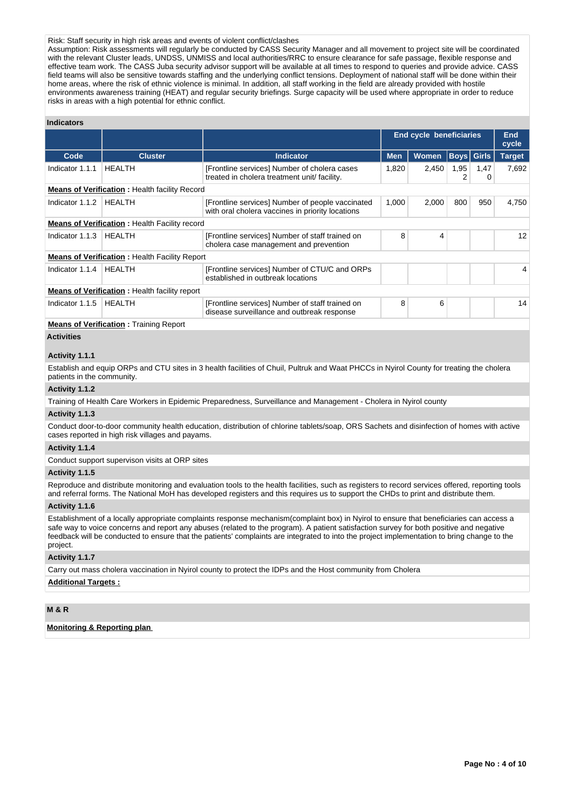# Risk: Staff security in high risk areas and events of violent conflict/clashes

Assumption: Risk assessments will regularly be conducted by CASS Security Manager and all movement to project site will be coordinated with the relevant Cluster leads, UNDSS, UNMISS and local authorities/RRC to ensure clearance for safe passage, flexible response and effective team work. The CASS Juba security advisor support will be available at all times to respond to queries and provide advice. CASS field teams will also be sensitive towards staffing and the underlying conflict tensions. Deployment of national staff will be done within their home areas, where the risk of ethnic violence is minimal. In addition, all staff working in the field are already provided with hostile environments awareness training (HEAT) and regular security briefings. Surge capacity will be used where appropriate in order to reduce risks in areas with a high potential for ethnic conflict.

#### **Indicators**

|                 |                                                      |                                                                                                      |            | End cycle beneficiaries |           |                   | End<br>cycle  |
|-----------------|------------------------------------------------------|------------------------------------------------------------------------------------------------------|------------|-------------------------|-----------|-------------------|---------------|
| Code            | <b>Cluster</b>                                       | Indicator                                                                                            | <b>Men</b> | <b>Women</b>            |           | <b>Boys</b> Girls | <b>Target</b> |
| Indicator 1.1.1 | <b>HEALTH</b>                                        | [Frontline services] Number of cholera cases<br>treated in cholera treatment unit/ facility.         | 1,820      | 2,450                   | 1,95<br>2 | 1,47<br>0         | 7,692         |
|                 | <b>Means of Verification:</b> Health facility Record |                                                                                                      |            |                         |           |                   |               |
| Indicator 1.1.2 | <b>HEALTH</b>                                        | [Frontline services] Number of people vaccinated<br>with oral cholera vaccines in priority locations | 1.000      | 2,000                   | 800       | 950               | 4,750         |
|                 | <b>Means of Verification:</b> Health Facility record |                                                                                                      |            |                         |           |                   |               |
| Indicator 1.1.3 | <b>HEALTH</b>                                        | [Frontline services] Number of staff trained on<br>cholera case management and prevention            | 8          | 4                       |           |                   | 12            |
|                 | <b>Means of Verification:</b> Health Facility Report |                                                                                                      |            |                         |           |                   |               |
| Indicator 1.1.4 | <b>HEALTH</b>                                        | [Frontline services] Number of CTU/C and ORPs<br>established in outbreak locations                   |            |                         |           |                   | 4             |
|                 | <b>Means of Verification:</b> Health facility report |                                                                                                      |            |                         |           |                   |               |
| Indicator 1.1.5 | <b>HEALTH</b>                                        | [Frontline services] Number of staff trained on<br>disease surveillance and outbreak response        |            | 6                       |           |                   | 14            |
|                 | <b>Means of Verification:</b> Training Report        |                                                                                                      |            |                         |           |                   |               |

# **Activities**

#### **Activity 1.1.1**

Establish and equip ORPs and CTU sites in 3 health facilities of Chuil, Pultruk and Waat PHCCs in Nyirol County for treating the cholera patients in the community.

#### **Activity 1.1.2**

Training of Health Care Workers in Epidemic Preparedness, Surveillance and Management - Cholera in Nyirol county

## **Activity 1.1.3**

Conduct door-to-door community health education, distribution of chlorine tablets/soap, ORS Sachets and disinfection of homes with active cases reported in high risk villages and payams.

## **Activity 1.1.4**

Conduct support supervison visits at ORP sites

#### **Activity 1.1.5**

Reproduce and distribute monitoring and evaluation tools to the health facilities, such as registers to record services offered, reporting tools and referral forms. The National MoH has developed registers and this requires us to support the CHDs to print and distribute them.

## **Activity 1.1.6**

Establishment of a locally appropriate complaints response mechanism(complaint box) in Nyirol to ensure that beneficiaries can access a safe way to voice concerns and report any abuses (related to the program). A patient satisfaction survey for both positive and negative feedback will be conducted to ensure that the patients' complaints are integrated to into the project implementation to bring change to the project.

#### **Activity 1.1.7**

Carry out mass cholera vaccination in Nyirol county to protect the IDPs and the Host community from Cholera

### **Additional Targets :**

# **M & R**

**Monitoring & Reporting plan**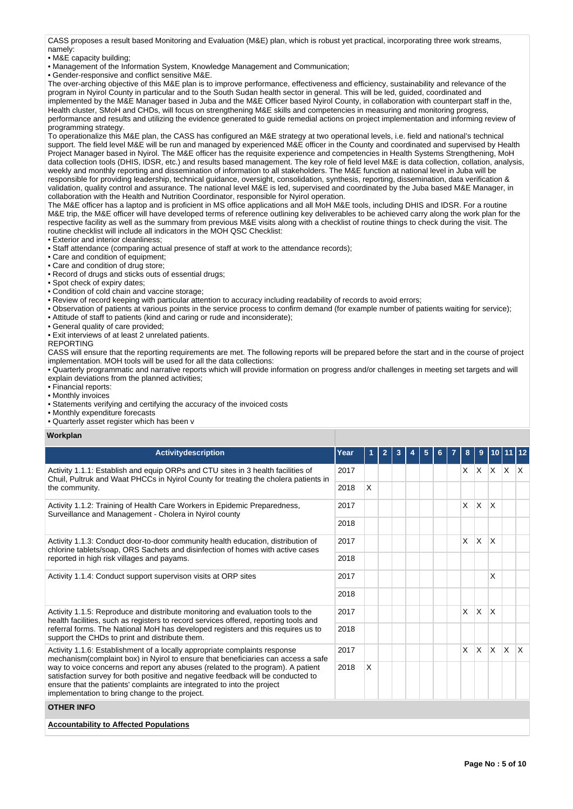CASS proposes a result based Monitoring and Evaluation (M&E) plan, which is robust yet practical, incorporating three work streams, namely:

• M&E capacity building;

• Management of the Information System, Knowledge Management and Communication;

• Gender-responsive and conflict sensitive M&E.

The over-arching objective of this M&E plan is to improve performance, effectiveness and efficiency, sustainability and relevance of the program in Nyirol County in particular and to the South Sudan health sector in general. This will be led, guided, coordinated and implemented by the M&E Manager based in Juba and the M&E Officer based Nyirol County, in collaboration with counterpart staff in the, Health cluster, SMoH and CHDs, will focus on strengthening M&E skills and competencies in measuring and monitoring progress, performance and results and utilizing the evidence generated to guide remedial actions on project implementation and informing review of programming strategy.

To operationalize this M&E plan, the CASS has configured an M&E strategy at two operational levels, i.e. field and national's technical support. The field level M&E will be run and managed by experienced M&E officer in the County and coordinated and supervised by Health Project Manager based in Nyirol. The M&E officer has the requisite experience and competencies in Health Systems Strengthening, MoH data collection tools (DHIS, IDSR, etc.) and results based management. The key role of field level M&E is data collection, collation, analysis, weekly and monthly reporting and dissemination of information to all stakeholders. The M&E function at national level in Juba will be responsible for providing leadership, technical guidance, oversight, consolidation, synthesis, reporting, dissemination, data verification & validation, quality control and assurance. The national level M&E is led, supervised and coordinated by the Juba based M&E Manager, in collaboration with the Health and Nutrition Coordinator, responsible for Nyirol operation.

The M&E officer has a laptop and is proficient in MS office applications and all MoH M&E tools, including DHIS and IDSR. For a routine M&E trip, the M&E officer will have developed terms of reference outlining key deliverables to be achieved carry along the work plan for the respective facility as well as the summary from previous M&E visits along with a checklist of routine things to check during the visit. The routine checklist will include all indicators in the MOH QSC Checklist:

• Exterior and interior cleanliness;

• Staff attendance (comparing actual presence of staff at work to the attendance records);

• Care and condition of equipment;

- Care and condition of drug store;
- Record of drugs and sticks outs of essential drugs;
- Spot check of expiry dates;
- Condition of cold chain and vaccine storage;
- Review of record keeping with particular attention to accuracy including readability of records to avoid errors;

• Observation of patients at various points in the service process to confirm demand (for example number of patients waiting for service);

- Attitude of staff to patients (kind and caring or rude and inconsiderate);
- General quality of care provided;
- Exit interviews of at least 2 unrelated patients.

# REPORTING

CASS will ensure that the reporting requirements are met. The following reports will be prepared before the start and in the course of project implementation. MOH tools will be used for all the data collections:

• Quarterly programmatic and narrative reports which will provide information on progress and/or challenges in meeting set targets and will explain deviations from the planned activities;

- Financial reports:
- Monthly invoices
- Statements verifying and certifying the accuracy of the invoiced costs

• Monthly expenditure forecasts

• Quarterly asset register which has been v

**Workplan**

| <b>Activitydescription</b>                                                                                                                                                                                                                                                                               | Year |              | $\mathbf{2}$ | 3 | 5 |  |    |              |              |     |                         |
|----------------------------------------------------------------------------------------------------------------------------------------------------------------------------------------------------------------------------------------------------------------------------------------------------------|------|--------------|--------------|---|---|--|----|--------------|--------------|-----|-------------------------|
| Activity 1.1.1: Establish and equip ORPs and CTU sites in 3 health facilities of<br>Chuil, Pultruk and Waat PHCCs in Nyirol County for treating the cholera patients in                                                                                                                                  | 2017 |              |              |   |   |  | X. |              | $X$ $X$ $X$  |     | $\mathsf{I} \mathsf{X}$ |
| the community.                                                                                                                                                                                                                                                                                           | 2018 | $\mathsf{x}$ |              |   |   |  |    |              |              |     |                         |
| Activity 1.1.2: Training of Health Care Workers in Epidemic Preparedness,<br>Surveillance and Management - Cholera in Nyirol county                                                                                                                                                                      | 2017 |              |              |   |   |  | X  | $\mathsf{X}$ | X            |     |                         |
|                                                                                                                                                                                                                                                                                                          | 2018 |              |              |   |   |  |    |              |              |     |                         |
| Activity 1.1.3: Conduct door-to-door community health education, distribution of<br>chlorine tablets/soap, ORS Sachets and disinfection of homes with active cases                                                                                                                                       |      |              |              |   |   |  | X  | <sup>X</sup> | $\mathsf{x}$ |     |                         |
| reported in high risk villages and payams.                                                                                                                                                                                                                                                               | 2018 |              |              |   |   |  |    |              |              |     |                         |
| Activity 1.1.4: Conduct support supervison visits at ORP sites                                                                                                                                                                                                                                           |      |              |              |   |   |  |    |              | X            |     |                         |
|                                                                                                                                                                                                                                                                                                          | 2018 |              |              |   |   |  |    |              |              |     |                         |
| Activity 1.1.5: Reproduce and distribute monitoring and evaluation tools to the<br>health facilities, such as registers to record services offered, reporting tools and                                                                                                                                  | 2017 |              |              |   |   |  | X  | ΙX.          | $\mathsf{x}$ |     |                         |
| referral forms. The National MoH has developed registers and this requires us to<br>support the CHDs to print and distribute them.                                                                                                                                                                       | 2018 |              |              |   |   |  |    |              |              |     |                         |
| Activity 1.1.6: Establishment of a locally appropriate complaints response<br>mechanism (complaint box) in Nyirol to ensure that beneficiaries can access a safe                                                                                                                                         | 2017 |              |              |   |   |  | X  | ΙX.          | $\mathsf{X}$ | Ιx. | $\mathsf{I} \mathsf{X}$ |
| way to voice concerns and report any abuses (related to the program). A patient<br>2018<br>satisfaction survey for both positive and negative feedback will be conducted to<br>ensure that the patients' complaints are integrated to into the project<br>implementation to bring change to the project. |      | X            |              |   |   |  |    |              |              |     |                         |
| <b>OTHER INFO</b>                                                                                                                                                                                                                                                                                        |      |              |              |   |   |  |    |              |              |     |                         |
| <b>Accountability to Affected Populations</b>                                                                                                                                                                                                                                                            |      |              |              |   |   |  |    |              |              |     |                         |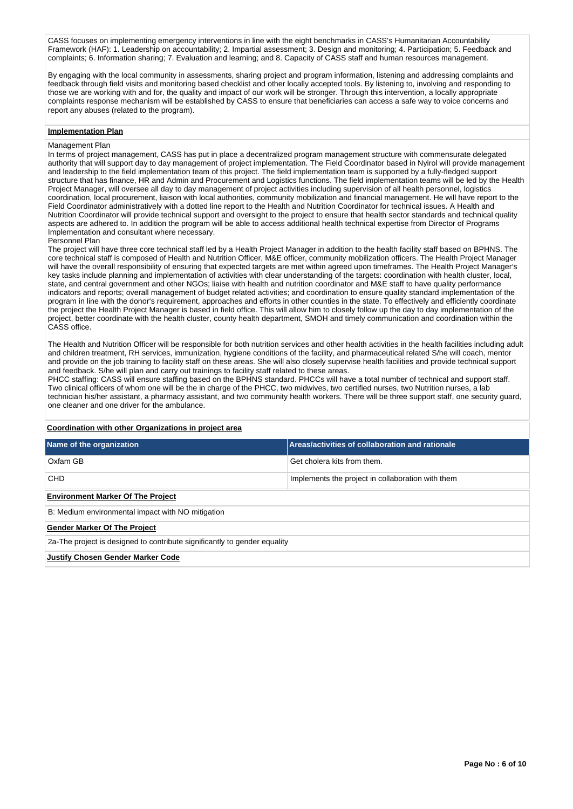CASS focuses on implementing emergency interventions in line with the eight benchmarks in CASS's Humanitarian Accountability Framework (HAF): 1. Leadership on accountability; 2. Impartial assessment; 3. Design and monitoring; 4. Participation; 5. Feedback and complaints; 6. Information sharing; 7. Evaluation and learning; and 8. Capacity of CASS staff and human resources management.

By engaging with the local community in assessments, sharing project and program information, listening and addressing complaints and feedback through field visits and monitoring based checklist and other locally accepted tools. By listening to, involving and responding to those we are working with and for, the quality and impact of our work will be stronger. Through this intervention, a locally appropriate complaints response mechanism will be established by CASS to ensure that beneficiaries can access a safe way to voice concerns and report any abuses (related to the program).

#### **Implementation Plan**

#### Management Plan

In terms of project management, CASS has put in place a decentralized program management structure with commensurate delegated authority that will support day to day management of project implementation. The Field Coordinator based in Nyirol will provide management and leadership to the field implementation team of this project. The field implementation team is supported by a fully-fledged support structure that has finance, HR and Admin and Procurement and Logistics functions. The field implementation teams will be led by the Health Project Manager, will oversee all day to day management of project activities including supervision of all health personnel, logistics coordination, local procurement, liaison with local authorities, community mobilization and financial management. He will have report to the Field Coordinator administratively with a dotted line report to the Health and Nutrition Coordinator for technical issues. A Health and Nutrition Coordinator will provide technical support and oversight to the project to ensure that health sector standards and technical quality aspects are adhered to. In addition the program will be able to access additional health technical expertise from Director of Programs Implementation and consultant where necessary.

### Personnel Plan

The project will have three core technical staff led by a Health Project Manager in addition to the health facility staff based on BPHNS. The core technical staff is composed of Health and Nutrition Officer, M&E officer, community mobilization officers. The Health Project Manager will have the overall responsibility of ensuring that expected targets are met within agreed upon timeframes. The Health Project Manager's key tasks include planning and implementation of activities with clear understanding of the targets: coordination with health cluster, local, state, and central government and other NGOs; liaise with health and nutrition coordinator and M&E staff to have quality performance indicators and reports; overall management of budget related activities; and coordination to ensure quality standard implementation of the program in line with the donor's requirement, approaches and efforts in other counties in the state. To effectively and efficiently coordinate the project the Health Project Manager is based in field office. This will allow him to closely follow up the day to day implementation of the project, better coordinate with the health cluster, county health department, SMOH and timely communication and coordination within the CASS office.

The Health and Nutrition Officer will be responsible for both nutrition services and other health activities in the health facilities including adult and children treatment, RH services, immunization, hygiene conditions of the facility, and pharmaceutical related S/he will coach, mentor and provide on the job training to facility staff on these areas. She will also closely supervise health facilities and provide technical support and feedback. S/he will plan and carry out trainings to facility staff related to these areas.

PHCC staffing: CASS will ensure staffing based on the BPHNS standard. PHCCs will have a total number of technical and support staff. Two clinical officers of whom one will be the in charge of the PHCC, two midwives, two certified nurses, two Nutrition nurses, a lab technician his/her assistant, a pharmacy assistant, and two community health workers. There will be three support staff, one security guard, one cleaner and one driver for the ambulance.

# **Coordination with other Organizations in project area Name of the organization Areas/activities of collaboration and rationale** Oxfam GB Get cholera kits from them. CHD **Implements the project in collaboration with them Environment Marker Of The Project** B: Medium environmental impact with NO mitigation **Gender Marker Of The Project** 2a-The project is designed to contribute significantly to gender equality **Justify Chosen Gender Marker Code**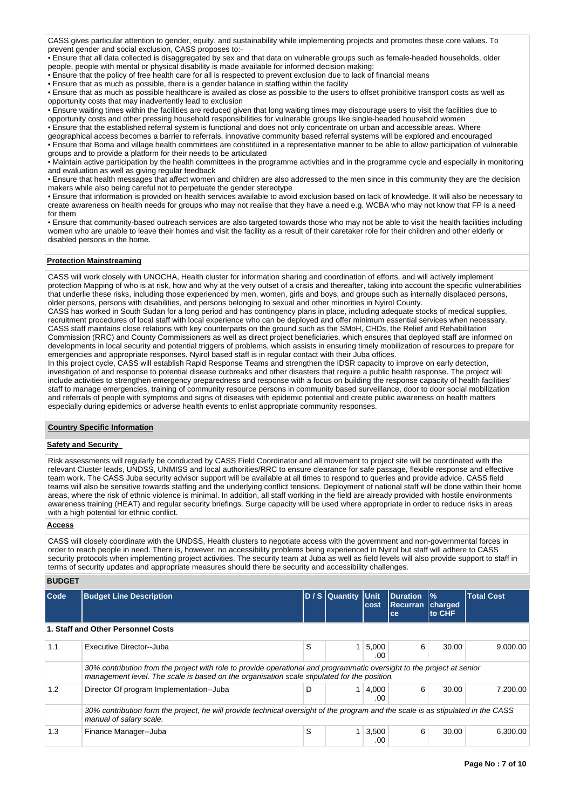CASS gives particular attention to gender, equity, and sustainability while implementing projects and promotes these core values. To prevent gender and social exclusion, CASS proposes to:-

• Ensure that all data collected is disaggregated by sex and that data on vulnerable groups such as female-headed households, older people, people with mental or physical disability is made available for informed decision making;

• Ensure that the policy of free health care for all is respected to prevent exclusion due to lack of financial means

• Ensure that as much as possible, there is a gender balance in staffing within the facility

• Ensure that as much as possible healthcare is availed as close as possible to the users to offset prohibitive transport costs as well as opportunity costs that may inadvertently lead to exclusion

• Ensure waiting times within the facilities are reduced given that long waiting times may discourage users to visit the facilities due to opportunity costs and other pressing household responsibilities for vulnerable groups like single-headed household women

• Ensure that the established referral system is functional and does not only concentrate on urban and accessible areas. Where

geographical access becomes a barrier to referrals, innovative community based referral systems will be explored and encouraged • Ensure that Boma and village health committees are constituted in a representative manner to be able to allow participation of vulnerable

groups and to provide a platform for their needs to be articulated

• Maintain active participation by the health committees in the programme activities and in the programme cycle and especially in monitoring and evaluation as well as giving regular feedback

• Ensure that health messages that affect women and children are also addressed to the men since in this community they are the decision makers while also being careful not to perpetuate the gender stereotype

• Ensure that information is provided on health services available to avoid exclusion based on lack of knowledge. It will also be necessary to create awareness on health needs for groups who may not realise that they have a need e.g. WCBA who may not know that FP is a need for them

• Ensure that community-based outreach services are also targeted towards those who may not be able to visit the health facilities including women who are unable to leave their homes and visit the facility as a result of their caretaker role for their children and other elderly or disabled persons in the home.

# **Protection Mainstreaming**

CASS will work closely with UNOCHA, Health cluster for information sharing and coordination of efforts, and will actively implement protection Mapping of who is at risk, how and why at the very outset of a crisis and thereafter, taking into account the specific vulnerabilities that underlie these risks, including those experienced by men, women, girls and boys, and groups such as internally displaced persons, older persons, persons with disabilities, and persons belonging to sexual and other minorities in Nyirol County.

CASS has worked in South Sudan for a long period and has contingency plans in place, including adequate stocks of medical supplies, recruitment procedures of local staff with local experience who can be deployed and offer minimum essential services when necessary. CASS staff maintains close relations with key counterparts on the ground such as the SMoH, CHDs, the Relief and Rehabilitation Commission (RRC) and County Commissioners as well as direct project beneficiaries, which ensures that deployed staff are informed on developments in local security and potential triggers of problems, which assists in ensuring timely mobilization of resources to prepare for emergencies and appropriate responses. Nyirol based staff is in regular contact with their Juba offices.

In this project cycle, CASS will establish Rapid Response Teams and strengthen the IDSR capacity to improve on early detection, investigation of and response to potential disease outbreaks and other disasters that require a public health response. The project will include activities to strengthen emergency preparedness and response with a focus on building the response capacity of health facilities' staff to manage emergencies, training of community resource persons in community based surveillance, door to door social mobilization and referrals of people with symptoms and signs of diseases with epidemic potential and create public awareness on health matters especially during epidemics or adverse health events to enlist appropriate community responses.

# **Country Specific Information**

# **Safety and Security**

Risk assessments will regularly be conducted by CASS Field Coordinator and all movement to project site will be coordinated with the relevant Cluster leads, UNDSS, UNMISS and local authorities/RRC to ensure clearance for safe passage, flexible response and effective team work. The CASS Juba security advisor support will be available at all times to respond to queries and provide advice. CASS field teams will also be sensitive towards staffing and the underlying conflict tensions. Deployment of national staff will be done within their home areas, where the risk of ethnic violence is minimal. In addition, all staff working in the field are already provided with hostile environments awareness training (HEAT) and regular security briefings. Surge capacity will be used where appropriate in order to reduce risks in areas with a high potential for ethnic conflict.

# **Access**

CASS will closely coordinate with the UNDSS, Health clusters to negotiate access with the government and non-governmental forces in order to reach people in need. There is, however, no accessibility problems being experienced in Nyirol but staff will adhere to CASS security protocols when implementing project activities. The security team at Juba as well as field levels will also provide support to staff in terms of security updates and appropriate measures should there be security and accessibility challenges.

## **BUDGET**

| <b>Code</b> | <b>Budget Line Description</b>                                                                                                                                                                                        |   | D / S Quantity Unit | cost         | <b>IDuration</b><br><b>Recurran</b><br>ce | $\frac{9}{6}$<br>charged<br>to CHF | <b>Total Cost</b> |
|-------------|-----------------------------------------------------------------------------------------------------------------------------------------------------------------------------------------------------------------------|---|---------------------|--------------|-------------------------------------------|------------------------------------|-------------------|
|             | 1. Staff and Other Personnel Costs                                                                                                                                                                                    |   |                     |              |                                           |                                    |                   |
| 1.1         | Executive Director--Juba                                                                                                                                                                                              | S |                     | 5,000<br>.00 | 6                                         | 30.00                              | 9.000.00          |
|             | 30% contribution from the project with role to provide operational and programmatic oversight to the project at senior<br>management level. The scale is based on the organisation scale stipulated for the position. |   |                     |              |                                           |                                    |                   |
| 1.2         | Director Of program Implementation--Juba                                                                                                                                                                              | D |                     | 4,000<br>.00 | 6                                         | 30.00                              | 7.200.00          |
|             | 30% contribution form the project, he will provide technical oversight of the program and the scale is as stipulated in the CASS<br>manual of salary scale.                                                           |   |                     |              |                                           |                                    |                   |
| 1.3         | Finance Manager--Juba                                                                                                                                                                                                 | S |                     | 3,500<br>.00 | 6                                         | 30.00                              | 6.300.00          |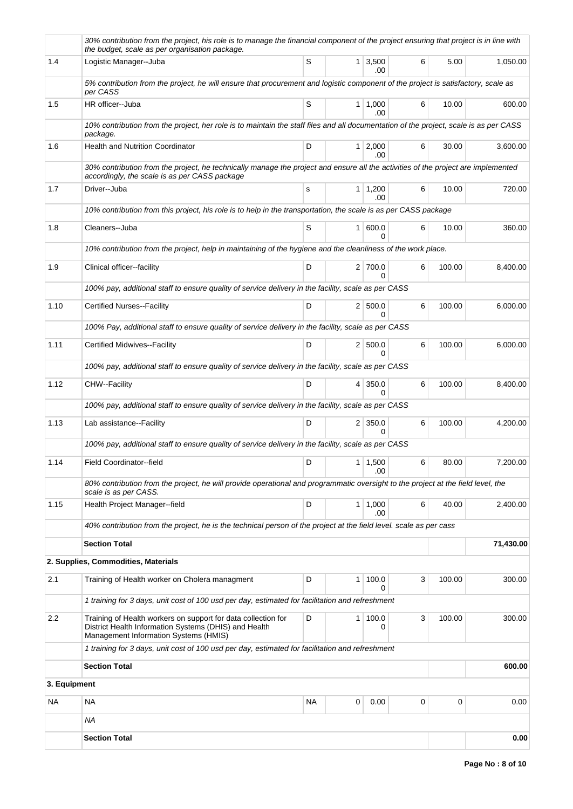|              | 30% contribution from the project, his role is to manage the financial component of the project ensuring that project is in line with<br>the budget, scale as per organisation package. |    |                |                                |   |             |           |
|--------------|-----------------------------------------------------------------------------------------------------------------------------------------------------------------------------------------|----|----------------|--------------------------------|---|-------------|-----------|
| 1.4          | Logistic Manager--Juba                                                                                                                                                                  | S  |                | $1 \mid 3,500$<br>.00          | 6 | 5.00        | 1,050.00  |
|              | 5% contribution from the project, he will ensure that procurement and logistic component of the project is satisfactory, scale as<br>per CASS                                           |    |                |                                |   |             |           |
| 1.5          | HR officer-Juba                                                                                                                                                                         | S  |                | 1   1,000<br>.00               | 6 | 10.00       | 600.00    |
|              | 10% contribution from the project, her role is to maintain the staff files and all documentation of the project, scale is as per CASS<br>package.                                       |    |                |                                |   |             |           |
| 1.6          | <b>Health and Nutrition Coordinator</b>                                                                                                                                                 | D  |                | $1 \mid 2,000$<br>.00          | 6 | 30.00       | 3,600.00  |
|              | 30% contribution from the project, he technically manage the project and ensure all the activities of the project are implemented<br>accordingly, the scale is as per CASS package      |    |                |                                |   |             |           |
| 1.7          | Driver--Juba                                                                                                                                                                            | s  |                | $1 \mid 1,200$<br>.00          | 6 | 10.00       | 720.00    |
|              | 10% contribution from this project, his role is to help in the transportation, the scale is as per CASS package                                                                         |    |                |                                |   |             |           |
| 1.8          | Cleaners--Juba                                                                                                                                                                          | S  |                | 1   600.0                      | 6 | 10.00       | 360.00    |
|              | 10% contribution from the project, help in maintaining of the hygiene and the cleanliness of the work place.                                                                            |    |                |                                |   |             |           |
| 1.9          | Clinical officer-facility                                                                                                                                                               | D  |                | 2 700.0<br>0                   | 6 | 100.00      | 8,400.00  |
|              | 100% pay, additional staff to ensure quality of service delivery in the facility, scale as per CASS                                                                                     |    |                |                                |   |             |           |
| 1.10         | <b>Certified Nurses--Facility</b>                                                                                                                                                       | D  |                | 2   500.0<br>0                 | 6 | 100.00      | 6,000.00  |
|              | 100% Pay, additional staff to ensure quality of service delivery in the facility, scale as per CASS                                                                                     |    |                |                                |   |             |           |
| 1.11         | Certified Midwives--Facility                                                                                                                                                            | D  |                | 2   500.0<br><sup>0</sup>      | 6 | 100.00      | 6,000.00  |
|              | 100% pay, additional staff to ensure quality of service delivery in the facility, scale as per CASS                                                                                     |    |                |                                |   |             |           |
| 1.12         | CHW--Facility                                                                                                                                                                           | D  |                | 4 350.0<br>0                   | 6 | 100.00      | 8,400.00  |
|              | 100% pay, additional staff to ensure quality of service delivery in the facility, scale as per CASS                                                                                     |    |                |                                |   |             |           |
| 1.13         | Lab assistance--Facility                                                                                                                                                                | D  |                | $2 \mid 350.0$<br><sup>0</sup> | 6 | 100.00      | 4,200.00  |
|              | 100% pay, additional staff to ensure quality of service delivery in the facility, scale as per CASS                                                                                     |    |                |                                |   |             |           |
| 1.14         | Field Coordinator--field                                                                                                                                                                | D  |                | 1 1,500<br>.00                 | 6 | 80.00       | 7,200.00  |
|              | 80% contribution from the project, he will provide operational and programmatic oversight to the project at the field level, the<br>scale is as per CASS.                               |    |                |                                |   |             |           |
| 1.15         | Health Project Manager--field                                                                                                                                                           | D  |                | 1   1,000<br>.00               | 6 | 40.00       | 2,400.00  |
|              | 40% contribution from the project, he is the technical person of the project at the field level. scale as per cass                                                                      |    |                |                                |   |             |           |
|              | <b>Section Total</b>                                                                                                                                                                    |    |                |                                |   |             | 71,430.00 |
|              | 2. Supplies, Commodities, Materials                                                                                                                                                     |    |                |                                |   |             |           |
| 2.1          | Training of Health worker on Cholera managment                                                                                                                                          | D  | 1 <sup>1</sup> | 100.0<br>0                     | 3 | 100.00      | 300.00    |
|              | 1 training for 3 days, unit cost of 100 usd per day, estimated for facilitation and refreshment                                                                                         |    |                |                                |   |             |           |
| 2.2          | Training of Health workers on support for data collection for<br>District Health Information Systems (DHIS) and Health<br>Management Information Systems (HMIS)                         | D  |                | 1 100.0<br>0                   | 3 | 100.00      | 300.00    |
|              | 1 training for 3 days, unit cost of 100 usd per day, estimated for facilitation and refreshment                                                                                         |    |                |                                |   |             |           |
|              | <b>Section Total</b>                                                                                                                                                                    |    |                |                                |   |             | 600.00    |
| 3. Equipment |                                                                                                                                                                                         |    |                |                                |   |             |           |
| NA           | <b>NA</b>                                                                                                                                                                               | ΝA | 0              | 0.00                           | 0 | $\mathbf 0$ | 0.00      |
|              | NA                                                                                                                                                                                      |    |                |                                |   |             |           |
|              | <b>Section Total</b>                                                                                                                                                                    |    |                |                                |   |             | 0.00      |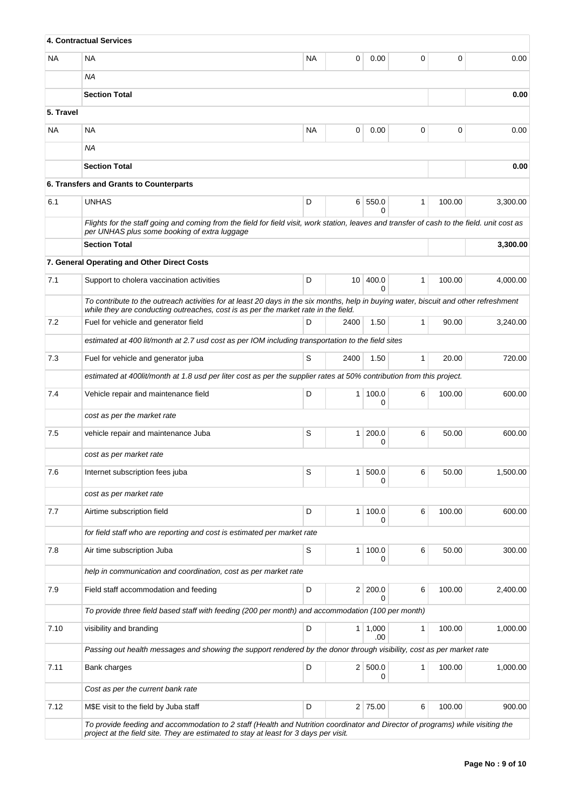|           | <b>4. Contractual Services</b>                                                                                                                                                                                             |           |                 |              |              |        |          |
|-----------|----------------------------------------------------------------------------------------------------------------------------------------------------------------------------------------------------------------------------|-----------|-----------------|--------------|--------------|--------|----------|
| NA.       | <b>NA</b>                                                                                                                                                                                                                  | <b>NA</b> | 0               | 0.00         | 0            | 0      | 0.00     |
|           | <b>NA</b>                                                                                                                                                                                                                  |           |                 |              |              |        |          |
|           | <b>Section Total</b>                                                                                                                                                                                                       |           |                 |              |              |        | 0.00     |
| 5. Travel |                                                                                                                                                                                                                            |           |                 |              |              |        |          |
| NA        | <b>NA</b>                                                                                                                                                                                                                  | <b>NA</b> | 0               | 0.00         | 0            | 0      | 0.00     |
|           | ΝA                                                                                                                                                                                                                         |           |                 |              |              |        |          |
|           | <b>Section Total</b>                                                                                                                                                                                                       |           |                 |              |              |        | 0.00     |
|           | 6. Transfers and Grants to Counterparts                                                                                                                                                                                    |           |                 |              |              |        |          |
| 6.1       | <b>UNHAS</b>                                                                                                                                                                                                               | D         |                 | 6 550.0<br>0 | $\mathbf{1}$ | 100.00 | 3,300.00 |
|           | Flights for the staff going and coming from the field for field visit, work station, leaves and transfer of cash to the field. unit cost as<br>per UNHAS plus some booking of extra luggage                                |           |                 |              |              |        |          |
|           | <b>Section Total</b>                                                                                                                                                                                                       |           |                 |              |              |        | 3,300.00 |
|           | 7. General Operating and Other Direct Costs                                                                                                                                                                                |           |                 |              |              |        |          |
| 7.1       | Support to cholera vaccination activities                                                                                                                                                                                  | D         | 10 <sup>1</sup> | 400.0        | 1            | 100.00 | 4,000.00 |
|           | To contribute to the outreach activities for at least 20 days in the six months, help in buying water, biscuit and other refreshment<br>while they are conducting outreaches, cost is as per the market rate in the field. |           |                 | 0            |              |        |          |
| 7.2       | Fuel for vehicle and generator field                                                                                                                                                                                       | D         | 2400            | 1.50         | $\mathbf{1}$ | 90.00  | 3,240.00 |
|           | estimated at 400 lit/month at 2.7 usd cost as per IOM including transportation to the field sites                                                                                                                          |           |                 |              |              |        |          |
| 7.3       | Fuel for vehicle and generator juba                                                                                                                                                                                        | S         | 2400            | 1.50         | $\mathbf{1}$ | 20.00  | 720.00   |
|           | estimated at 400lit/month at 1.8 usd per liter cost as per the supplier rates at 50% contribution from this project.                                                                                                       |           |                 |              |              |        |          |
| 7.4       | Vehicle repair and maintenance field                                                                                                                                                                                       | D         | 1 <sup>1</sup>  | 100.0<br>0   | 6            | 100.00 | 600.00   |
|           | cost as per the market rate                                                                                                                                                                                                |           |                 |              |              |        |          |
| 7.5       | vehicle repair and maintenance Juba                                                                                                                                                                                        | S         | 1 <sup>1</sup>  | 200.0<br>0   | 6            | 50.00  | 600.00   |
|           | cost as per market rate                                                                                                                                                                                                    |           |                 |              |              |        |          |
| 7.6       | Internet subscription fees juba                                                                                                                                                                                            | S         | 1               | 500.0<br>0   | 6            | 50.00  | 1,500.00 |
|           | cost as per market rate                                                                                                                                                                                                    |           |                 |              |              |        |          |
| 7.7       | Airtime subscription field                                                                                                                                                                                                 | D         | 1 <sup>1</sup>  | 100.0        | 6            | 100.00 | 600.00   |
|           | for field staff who are reporting and cost is estimated per market rate                                                                                                                                                    |           |                 |              |              |        |          |
| 7.8       | Air time subscription Juba                                                                                                                                                                                                 | S         | $\mathbf{1}$    | 100.0<br>0   | 6            | 50.00  | 300.00   |
|           | help in communication and coordination, cost as per market rate                                                                                                                                                            |           |                 |              |              |        |          |
| 7.9       | Field staff accommodation and feeding                                                                                                                                                                                      | D         | 2 <sup>2</sup>  | 200.0<br>0   | 6            | 100.00 | 2,400.00 |
|           | To provide three field based staff with feeding (200 per month) and accommodation (100 per month)                                                                                                                          |           |                 |              |              |        |          |
| 7.10      | visibility and branding                                                                                                                                                                                                    | D         | 1 <sup>1</sup>  | 1,000<br>.00 | 1            | 100.00 | 1,000.00 |
|           | Passing out health messages and showing the support rendered by the donor through visibility, cost as per market rate                                                                                                      |           |                 |              |              |        |          |
| 7.11      | Bank charges                                                                                                                                                                                                               | D         |                 | 2 500.0<br>0 | 1            | 100.00 | 1,000.00 |
|           | Cost as per the current bank rate                                                                                                                                                                                          |           |                 |              |              |        |          |
| 7.12      | M\$E visit to the field by Juba staff                                                                                                                                                                                      | D         |                 | 2 75.00      | 6            | 100.00 | 900.00   |
|           | To provide feeding and accommodation to 2 staff (Health and Nutrition coordinator and Director of programs) while visiting the<br>project at the field site. They are estimated to stay at least for 3 days per visit.     |           |                 |              |              |        |          |